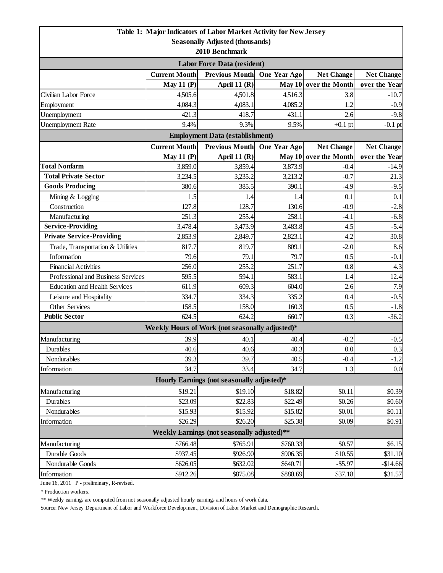|                                                           |                             | Table 1: Major Indicators of Labor Market Activity for New Jersey |                      |                       |                   |  |  |  |
|-----------------------------------------------------------|-----------------------------|-------------------------------------------------------------------|----------------------|-----------------------|-------------------|--|--|--|
| <b>Seasonally Adjusted (thousands)</b>                    |                             |                                                                   |                      |                       |                   |  |  |  |
| 2010 Benchmark                                            |                             |                                                                   |                      |                       |                   |  |  |  |
| <b>Labor Force Data (resident)</b>                        |                             |                                                                   |                      |                       |                   |  |  |  |
|                                                           | <b>Current Month</b>        | <b>Previous Month</b>                                             | One Year Ago         | <b>Net Change</b>     | <b>Net Change</b> |  |  |  |
|                                                           | <b>May 11 (P)</b>           | April 11 $(R)$                                                    |                      | May 10 over the Month | over the Year     |  |  |  |
| Civilian Labor Force                                      | 4,505.6                     | 4,501.8                                                           | 4,516.3              | 3.8                   | $-10.7$           |  |  |  |
| Employment                                                | 4,084.3                     | 4,083.1                                                           | 4,085.2              | 1.2                   | $-0.9$            |  |  |  |
| Unemployment                                              | 421.3                       | 418.7                                                             | 431.1                | 2.6                   | $-9.8$            |  |  |  |
| <b>Unemployment Rate</b>                                  | 9.4%                        | 9.3%                                                              | 9.5%                 | $+0.1$ pt             | $-0.1$ pt         |  |  |  |
| <b>Employment Data (establishment)</b>                    |                             |                                                                   |                      |                       |                   |  |  |  |
|                                                           | Previous Month One Year Ago | <b>Net Change</b>                                                 | <b>Net Change</b>    |                       |                   |  |  |  |
|                                                           | May 11 $(P)$                | April 11 (R)                                                      |                      | May 10 over the Month | over the Year     |  |  |  |
| <b>Total Nonfarm</b>                                      | 3,859.0                     | 3,859.4                                                           | 3,873.9              | $-0.4$                | $-14.9$           |  |  |  |
| <b>Total Private Sector</b>                               | 3,234.5                     | 3,235.2                                                           | 3,213.2              | $-0.7$                | 21.3              |  |  |  |
| <b>Goods Producing</b>                                    | 380.6                       | 385.5                                                             | 390.1                | $-4.9$                | $-9.5$            |  |  |  |
| Mining & Logging                                          | 1.5                         | 1.4                                                               | 1.4                  | 0.1                   | 0.1               |  |  |  |
| Construction                                              | 127.8                       | 128.7                                                             | 130.6                | $-0.9$                | $-2.8$            |  |  |  |
| Manufacturing                                             | 251.3                       | 255.4                                                             | 258.1                | $-4.1$                | $-6.8$            |  |  |  |
| <b>Service-Providing</b>                                  | 3,478.4                     | 3,473.9                                                           | 3,483.8              | 4.5                   | $-5.4$            |  |  |  |
| <b>Private Service-Providing</b>                          | 2,853.9                     | 2,849.7                                                           | 2,823.1              | 4.2                   | 30.8              |  |  |  |
| Trade, Transportation & Utilities                         | 817.7                       | 819.7                                                             | 809.1                | $-2.0$                | 8.6               |  |  |  |
| Information                                               | 79.6                        | 79.1                                                              | 79.7                 | 0.5                   | $-0.1$            |  |  |  |
| <b>Financial Activities</b>                               | 256.0                       | 255.2                                                             | 251.7                | 0.8                   | 4.3               |  |  |  |
| Professional and Business Services                        | 595.5                       | 594.1                                                             | 583.1                | 1.4                   | 12.4              |  |  |  |
| <b>Education and Health Services</b>                      | 611.9                       | 609.3                                                             | 604.0                | 2.6                   | 7.9               |  |  |  |
| Leisure and Hospitality                                   | 334.7                       | 334.3                                                             | 335.2                | 0.4                   | $-0.5$            |  |  |  |
| Other Services                                            | 158.5                       | 158.0                                                             | 160.3                | 0.5                   | $-1.8$            |  |  |  |
| <b>Public Sector</b>                                      | 624.5                       | 624.2                                                             | 660.7                | 0.3                   | $-36.2$           |  |  |  |
|                                                           |                             | Weekly Hours of Work (not seasonally adjusted)*                   |                      |                       |                   |  |  |  |
| Manufacturing                                             | 39.9                        | 40.1                                                              | 40.4                 | $-0.2$                | $-0.5$            |  |  |  |
| <b>Durables</b>                                           | 40.6                        | 40.6                                                              | 40.3                 | $0.0\,$               | 0.3               |  |  |  |
| Nondurables                                               | 39.3                        | 39.7                                                              | 40.5                 | $-0.4$                | $-1.2$            |  |  |  |
| Information                                               | 34.7                        | 33.4                                                              | 34.7                 | 1.3                   | 0.0               |  |  |  |
| Hourly Earnings (not seasonally adjusted)*                |                             |                                                                   |                      |                       |                   |  |  |  |
| Manufacturing                                             | \$19.21                     | \$19.10                                                           | \$18.82              | \$0.11                | \$0.39            |  |  |  |
| Durables                                                  | \$23.09                     | \$22.83                                                           | \$22.49              | \$0.26                | \$0.60            |  |  |  |
| Nondurables                                               | \$15.93                     | \$15.92                                                           | \$15.82              | \$0.01                | \$0.11            |  |  |  |
| Information                                               | \$26.29                     | \$26.20                                                           | \$25.38              | \$0.09                | \$0.91            |  |  |  |
| Weekly Earnings (not seasonally adjusted)**               |                             |                                                                   |                      |                       |                   |  |  |  |
| \$766.48<br>\$765.91<br>Manufacturing<br>\$0.57<br>\$6.15 |                             |                                                                   |                      |                       |                   |  |  |  |
| Durable Goods                                             | \$937.45                    | \$926.90                                                          | \$760.33<br>\$906.35 | \$10.55               | \$31.10           |  |  |  |
| Nondurable Goods                                          | \$626.05                    | \$632.02                                                          | \$640.71             | $- $5.97$             | $-$14.66$         |  |  |  |
| Information                                               | \$912.26                    | \$875.08                                                          | \$880.69             | \$37.18               | \$31.57           |  |  |  |
|                                                           |                             |                                                                   |                      |                       |                   |  |  |  |

June 16, 2011 P - preliminary, R-revised.

\* Production workers.

\*\* Weekly earnings are computed from not seasonally adjusted hourly earnings and hours of work data.

Source: New Jersey Department of Labor and Workforce Development, Division of Labor Market and Demographic Research.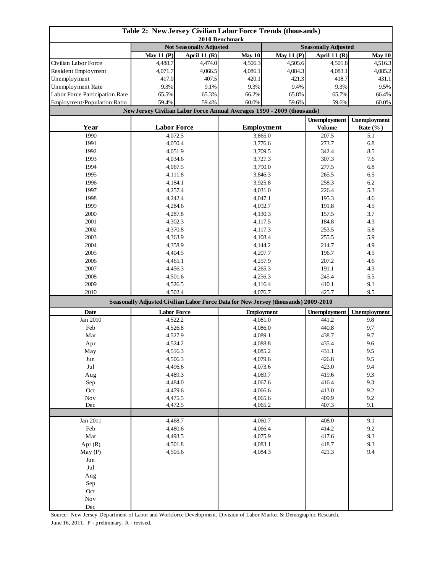| Table 2: New Jersey Civilian Labor Force Trends (thousands)<br>2010 Benchmark |                                |              |                                                                                    |                   |                            |                     |  |
|-------------------------------------------------------------------------------|--------------------------------|--------------|------------------------------------------------------------------------------------|-------------------|----------------------------|---------------------|--|
|                                                                               | <b>Not Seasonally Adjusted</b> |              |                                                                                    |                   | <b>Seasonally Adjusted</b> |                     |  |
|                                                                               | <b>May 11 (P)</b>              | April 11 (R) | May 10                                                                             | May 11 $(P)$      | April 11 (R)               | May 10              |  |
| Civilian Labor Force                                                          | 4,488.7                        | 4,474.0      | 4.506.3                                                                            | 4,505.6           | 4,501.8                    | 4,516.3             |  |
| Resident Employment                                                           | 4,071.7                        | 4,066.5      | 4,086.1                                                                            | 4,084.3           | 4,083.1                    | 4,085.2             |  |
| Unemployment                                                                  | 417.0                          | 407.5        | 420.1                                                                              | 421.3             | 418.7                      | 431.1               |  |
| Unemployment Rate                                                             | 9.3%                           | 9.1%         | 9.3%                                                                               | 9.4%              | 9.3%                       | 9.5%                |  |
| Labor Force Participation Rate                                                | 65.5%                          | 65.3%        | 66.2%                                                                              | 65.8%             | 65.7%                      | 66.4%               |  |
| Employment/Population Ratio                                                   | 59.4%                          | 59.4%        | 60.0%                                                                              | 59.6%             | 59.6%                      | 60.0%               |  |
|                                                                               |                                |              | New Jersey Civilian Labor Force Annual Averages 1990 - 2009 (thousands)            |                   |                            |                     |  |
|                                                                               |                                |              |                                                                                    |                   |                            | <b>Unemployment</b> |  |
| Year                                                                          | <b>Labor Force</b>             |              | <b>Employment</b>                                                                  |                   | <b>Volume</b>              | Rate $(\%$ )        |  |
| 1990                                                                          | 4,072.5                        |              |                                                                                    | 3,865.0           |                            | 5.1                 |  |
| 1991                                                                          | 4,050.4                        |              | 3,776.6                                                                            |                   | 273.7                      | 6.8                 |  |
| 1992                                                                          | 4,051.9                        |              | 3,709.5                                                                            |                   | 342.4                      | 8.5                 |  |
| 1993                                                                          | 4,034.6                        |              | 3,727.3                                                                            |                   | 307.3                      | 7.6                 |  |
| 1994                                                                          | 4,067.5                        |              | 3,790.0                                                                            |                   | 277.5                      | 6.8                 |  |
| 1995                                                                          | 4,111.8                        |              | 3,846.3                                                                            |                   | 265.5                      | 6.5                 |  |
| 1996                                                                          | 4,184.1                        |              | 3,925.8                                                                            |                   | 258.3                      | 6.2                 |  |
| 1997                                                                          | 4,257.4                        |              | 4,031.0                                                                            |                   | 226.4                      | 5.3                 |  |
| 1998                                                                          | 4,242.4                        |              | 4,047.1                                                                            |                   | 195.3                      | 4.6                 |  |
| 1999                                                                          | 4,284.6                        |              | 4,092.7                                                                            |                   | 191.8                      | 4.5                 |  |
| 2000                                                                          | 4,287.8                        |              | 4,130.3                                                                            |                   | 157.5                      | 3.7                 |  |
| 2001                                                                          | 4,302.3                        |              | 4,117.5                                                                            |                   | 184.8                      | 4.3                 |  |
| 2002                                                                          | 4,370.8                        |              |                                                                                    | 4,117.3           |                            | 5.8                 |  |
| 2003                                                                          | 4,363.9                        |              | 4,108.4                                                                            |                   | 255.5                      | 5.9                 |  |
| 2004                                                                          | 4,358.9                        |              | 4,144.2                                                                            |                   | 214.7                      | 4.9                 |  |
| 2005                                                                          | 4,404.5                        |              | 4,207.7                                                                            |                   | 196.7                      | 4.5                 |  |
| 2006                                                                          | 4,465.1                        |              | 4,257.9                                                                            |                   | 207.2                      | 4.6                 |  |
| 2007                                                                          | 4,456.3                        |              | 4,265.3                                                                            |                   | 191.1                      | 4.3                 |  |
| 2008                                                                          | 4,501.6                        |              | 4,256.3                                                                            |                   | 245.4                      | 5.5                 |  |
| 2009                                                                          | 4,526.5                        |              | 4,116.4                                                                            |                   | 410.1                      | 9.1                 |  |
| 2010                                                                          | 4,502.4                        |              | 4,076.7                                                                            |                   | 425.7                      | 9.5                 |  |
|                                                                               |                                |              | Seasonally Adjusted Civilian Labor Force Data for New Jersey (thousands) 2009-2010 |                   |                            |                     |  |
| Date                                                                          | <b>Labor Force</b>             |              |                                                                                    | <b>Employment</b> |                            | <b>Unemployment</b> |  |
| Jan 2010                                                                      | 4,522.2                        |              |                                                                                    | 4,081.0           |                            | 9.8                 |  |
| Feb                                                                           | 4,526.8                        |              | 4,086.0                                                                            |                   | 440.8                      | 9.7                 |  |
| Mar                                                                           | 4,527.9                        |              | 4,089.1                                                                            |                   | 438.7                      | 9.7                 |  |
| Apr                                                                           | 4,524.2                        |              | 4,088.8                                                                            |                   | 435.4                      | 9.6                 |  |
| May                                                                           | 4,516.3                        |              | 4,085.2                                                                            |                   | 431.1                      | 9.5                 |  |
| Jun                                                                           | 4,506.3                        |              | 4,079.6                                                                            |                   | 426.8                      | 9.5                 |  |
| Jul                                                                           | 4,496.6                        |              | 4,073.6                                                                            |                   | 423.0                      | 9.4                 |  |
| Aug                                                                           | 4,489.3                        |              | 4,069.7                                                                            |                   | 419.6                      | 9.3                 |  |
| Sep                                                                           | 4,484.0                        |              | 4,067.6                                                                            |                   | 416.4                      | 9.3                 |  |
| Oct                                                                           | 4,479.6                        |              | 4,066.6                                                                            |                   | 413.0                      | 9.2                 |  |
| Nov                                                                           | 4,475.5                        |              | 4,065.6                                                                            |                   | 409.9                      | 9.2                 |  |
| Dec                                                                           | 4,472.5                        |              | 4,065.2                                                                            |                   | 407.3                      | 9.1                 |  |
|                                                                               |                                |              |                                                                                    |                   |                            |                     |  |
| Jan 2011                                                                      | 4,468.7                        |              | 4,060.7                                                                            |                   | 408.0<br>414.2             | 9.1                 |  |
| Feb                                                                           | 4,480.6                        |              | 4,066.4                                                                            |                   |                            | 9.2                 |  |
| Mar                                                                           | 4,493.5                        |              | 4,075.9                                                                            |                   | 417.6                      | 9.3                 |  |
| Apr(R)                                                                        | 4,501.8<br>4,505.6             |              | 4,083.1                                                                            |                   | 418.7                      | 9.3                 |  |
| May(P)                                                                        |                                |              | 4,084.3                                                                            |                   | 421.3                      | 9.4                 |  |
| Jun                                                                           |                                |              |                                                                                    |                   |                            |                     |  |
| Jul                                                                           |                                |              |                                                                                    |                   |                            |                     |  |
| Aug                                                                           |                                |              |                                                                                    |                   |                            |                     |  |
| Sep                                                                           |                                |              |                                                                                    |                   |                            |                     |  |
| Oct                                                                           |                                |              |                                                                                    |                   |                            |                     |  |
|                                                                               | $\operatorname{Nov}$           |              |                                                                                    |                   |                            |                     |  |
| Dec                                                                           |                                |              |                                                                                    |                   |                            |                     |  |

Source: New Jersey Department of Labor and Workforce Development, Division of Labor Market & Demographic Research. June 16, 2011. P - preliminary, R - revised.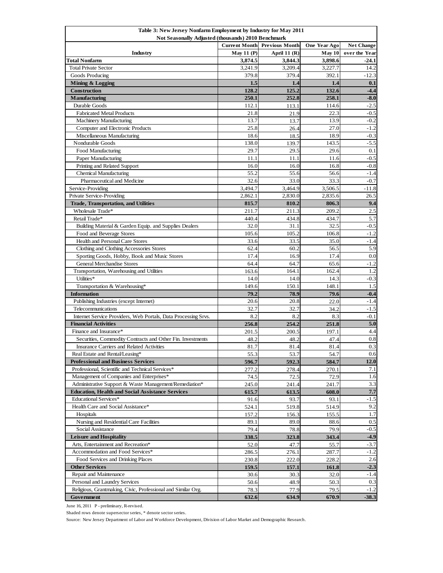| Table 3: New Jersey Nonfarm Employment by Industry for May 2011<br>Not Seasonally Adjusted (thousands) 2010 Benchmark |                                                                                           |                |              |               |  |  |
|-----------------------------------------------------------------------------------------------------------------------|-------------------------------------------------------------------------------------------|----------------|--------------|---------------|--|--|
|                                                                                                                       | <b>Current Month</b><br><b>Previous Month</b><br><b>One Year Ago</b><br><b>Net Change</b> |                |              |               |  |  |
| Industry                                                                                                              | May 11 $(P)$                                                                              | April 11 $(R)$ | May 10       | over the Year |  |  |
| Total Nonfarm                                                                                                         | 3,874.5                                                                                   | 3,844.3        | 3,898.6      | $-24.1$       |  |  |
| <b>Total Private Sector</b>                                                                                           | 3,241.9                                                                                   | 3,209.4        | 3,227.7      | 14.2          |  |  |
| Goods Producing                                                                                                       | 379.8                                                                                     | 379.4          | 392.1        | $-12.3$       |  |  |
| Mining & Logging                                                                                                      | 1.5                                                                                       | 1.4            | 1.4          | 0.1           |  |  |
| Construction                                                                                                          | 128.2                                                                                     | 125.2          | 132.6        | $-4.4$        |  |  |
| <b>Manufacturing</b>                                                                                                  | 250.1                                                                                     | 252.8          | 258.1        | $-8.0$        |  |  |
| Durable Goods                                                                                                         | 112.1                                                                                     | 113.1          | 114.6        | $-2.5$        |  |  |
| <b>Fabricated Metal Products</b>                                                                                      | 21.8                                                                                      | 21.9           | 22.3         | $-0.5$        |  |  |
| Machinery Manufacturing                                                                                               | 13.7                                                                                      | 13.7           | 13.9         | $-0.2$        |  |  |
| Computer and Electronic Products                                                                                      | 25.8                                                                                      | 26.4           | 27.0         | $-1.2$        |  |  |
| Miscellaneous Manufacturing                                                                                           | 18.6                                                                                      | 18.5           | 18.9         | $-0.3$        |  |  |
| Nondurable Goods                                                                                                      | 138.0                                                                                     | 139.7          | 143.5        | $-5.5$        |  |  |
| <b>Food Manufacturing</b>                                                                                             | 29.7                                                                                      | 29.5           | 29.6         | 0.1           |  |  |
| Paper Manufacturing                                                                                                   | 11.1                                                                                      | 11.1           | 11.6         | $-0.5$        |  |  |
| Printing and Related Support                                                                                          | 16.0                                                                                      | 16.0           | 16.8         | $-0.8$        |  |  |
| <b>Chemical Manufacturing</b>                                                                                         | 55.2                                                                                      | 55.6           | 56.6         | $-1.4$        |  |  |
| Pharmaceutical and Medicine                                                                                           | 32.6                                                                                      | 33.0           | 33.3         | $-0.7$        |  |  |
| Service-Providing                                                                                                     | 3,494.7                                                                                   | 3,464.9        | 3,506.5      | $-11.8$       |  |  |
| Private Service-Providing                                                                                             | 2,862.1                                                                                   | 2,830.0        | 2,835.6      | 26.5          |  |  |
| <b>Trade, Transportation, and Utilities</b>                                                                           | 815.7                                                                                     | 810.2          | 806.3        | 9.4           |  |  |
| Wholesale Trade*                                                                                                      | 211.7                                                                                     | 211.3          | 209.2        | 2.5           |  |  |
| Retail Trade*                                                                                                         | 440.4                                                                                     | 434.8          | 434.7        | 5.7           |  |  |
| Building Material & Garden Equip. and Supplies Dealers                                                                | 32.0                                                                                      | 31.1           | 32.5         | $-0.5$        |  |  |
| Food and Beverage Stores                                                                                              | 105.6                                                                                     | 105.2          | 106.8        | $-1.2$        |  |  |
| Health and Personal Care Stores                                                                                       | 33.6                                                                                      | 33.5           | 35.0         | $-1.4$        |  |  |
| Clothing and Clothing Accessories Stores                                                                              | 62.4                                                                                      | 60.2           | 56.5         | 5.9           |  |  |
| Sporting Goods, Hobby, Book and Music Stores                                                                          | 17.4                                                                                      | 16.9           | 17.4         | 0.0           |  |  |
| General Merchandise Stores                                                                                            | 64.4                                                                                      | 64.7           | 65.6         | $-1.2$        |  |  |
| Transportation, Warehousing and Utilities                                                                             | 163.6                                                                                     | 164.1          | 162.4        | 1.2           |  |  |
| Utilities*                                                                                                            | 14.0                                                                                      | 14.0           | 14.3         | $-0.3$        |  |  |
| Transportation & Warehousing*                                                                                         | 149.6                                                                                     | 150.1          | 148.1        | 1.5           |  |  |
| <b>Information</b>                                                                                                    | 79.2                                                                                      | 78.9           | 79.6         | $-0.4$        |  |  |
| Publishing Industries (except Internet)                                                                               | 20.6                                                                                      | 20.8           | 22.0         | $-1.4$        |  |  |
| Telecommunications                                                                                                    | 32.7                                                                                      | 32.7           | 34.2         | $-1.5$        |  |  |
| Internet Service Providers, Web Portals, Data Processing Srvs.                                                        | 8.2                                                                                       | 8.2            | 8.3          | $-0.1$        |  |  |
| <b>Financial Activities</b>                                                                                           | 256.8                                                                                     | 254.2          | 251.8        | 5.0           |  |  |
| Finance and Insurance*                                                                                                | 201.5                                                                                     | 200.5          | 197.1        | 4.4           |  |  |
| Securities, Commodity Contracts and Other Fin. Investments                                                            | 48.2                                                                                      | 48.2           | 47.4         | 0.8           |  |  |
| Insurance Carriers and Related Activities                                                                             | 81.7                                                                                      | 81.4           | 81.4         | 0.3           |  |  |
| Real Estate and Rental/Leasing*                                                                                       | 55.3                                                                                      | 53.7           | 54.7         | 0.6           |  |  |
| <b>Professional and Business Services</b>                                                                             | 596.7                                                                                     | 592.3          | 584.7        | 12.0          |  |  |
| Professional, Scientific and Technical Services*                                                                      | 277.2                                                                                     | 278.4          | 270.1        | 7.1           |  |  |
| Management of Companies and Enterprises*                                                                              | 74.5                                                                                      | 72.5           | 72.9         | 1.6           |  |  |
| Administrative Support & Waste Management/Remediation*                                                                | 245.0                                                                                     | 241.4          | 241.7        | 3.3           |  |  |
| <b>Education, Health and Social Assistance Services</b>                                                               | 615.7                                                                                     | 613.5          | 608.0        | 7.7           |  |  |
| Educational Services*                                                                                                 | 91.6                                                                                      | 93.7           | 93.1         | $-1.5$        |  |  |
| Health Care and Social Assistance*                                                                                    | 524.1                                                                                     | 519.8          | 514.9        | 9.2           |  |  |
| Hospitals                                                                                                             | 157.2                                                                                     | 156.3          | 155.5        | 1.7           |  |  |
| Nursing and Residential Care Facilities                                                                               | 89.1                                                                                      | 89.0           | 88.6         | 0.5           |  |  |
| Social Assistance                                                                                                     | 79.4                                                                                      | 78.8           | 79.9         | $-0.5$        |  |  |
| <b>Leisure and Hospitality</b><br>Arts, Entertainment and Recreation*                                                 | 338.5                                                                                     | 323.8          | 343.4        | $-4.9$        |  |  |
| Accommodation and Food Services*                                                                                      | 52.0                                                                                      | 47.7           | 55.7         | $-3.7$        |  |  |
|                                                                                                                       | 286.5                                                                                     | 276.1          | 287.7        | $-1.2$<br>2.6 |  |  |
| Food Services and Drinking Places                                                                                     | 230.8                                                                                     | 222.0          | 228.2        | $-2.3$        |  |  |
| <b>Other Services</b><br>Repair and Maintenance                                                                       | 159.5                                                                                     | 157.1          | 161.8        |               |  |  |
| Personal and Laundry Services                                                                                         | 30.6                                                                                      | 30.3           | 32.0         | $-1.4$<br>0.3 |  |  |
| Religious, Grantmaking, Civic, Professional and Similar Org.                                                          | 50.6<br>78.3                                                                              | 48.9<br>77.9   | 50.3<br>79.5 | $-1.2$        |  |  |
| Government                                                                                                            | 632.6                                                                                     | 634.9          | 670.9        | $-38.3$       |  |  |

June 16, 2011 P - preliminary, R-revised.

Shaded rows denote supersector series, \* denote sector series.

Source: New Jersey Department of Labor and Workforce Development, Division of Labor Market and Demographic Research.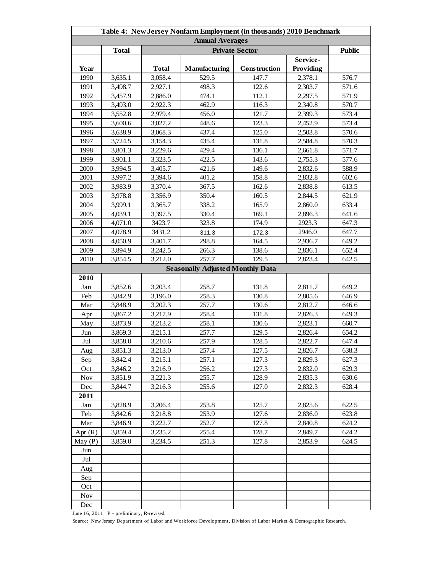| Table 4: New Jersey Nonfarm Employment (in thousands) 2010 Benchmark |              |              |                                         |              |           |       |  |
|----------------------------------------------------------------------|--------------|--------------|-----------------------------------------|--------------|-----------|-------|--|
| <b>Annual Averages</b>                                               |              |              |                                         |              |           |       |  |
|                                                                      | <b>Total</b> |              | <b>Public</b>                           |              |           |       |  |
|                                                                      |              |              |                                         |              | Service-  |       |  |
| Year                                                                 |              | <b>Total</b> | Manufacturing                           | Construction | Providing |       |  |
| 1990                                                                 | 3,635.1      | 3,058.4      | 529.5                                   | 147.7        | 2,378.1   | 576.7 |  |
| 1991                                                                 | 3,498.7      | 2,927.1      | 498.3                                   | 122.6        | 2,303.7   | 571.6 |  |
| 1992                                                                 | 3,457.9      | 2,886.0      | 474.1                                   | 112.1        | 2,297.5   | 571.9 |  |
| 1993                                                                 | 3,493.0      | 2,922.3      | 462.9                                   | 116.3        | 2,340.8   | 570.7 |  |
| 1994                                                                 | 3,552.8      | 2,979.4      | 456.0                                   | 121.7        | 2,399.3   | 573.4 |  |
| 1995                                                                 | 3,600.6      | 3,027.2      | 448.6                                   | 123.3        | 2,452.9   | 573.4 |  |
| 1996                                                                 | 3,638.9      | 3,068.3      | 437.4                                   | 125.0        | 2,503.8   | 570.6 |  |
| 1997                                                                 | 3,724.5      | 3,154.3      | 435.4                                   | 131.8        | 2,584.8   | 570.3 |  |
| 1998                                                                 | 3,801.3      | 3,229.6      | 429.4                                   | 136.1        | 2,661.8   | 571.7 |  |
| 1999                                                                 | 3,901.1      | 3,323.5      | 422.5                                   | 143.6        | 2,755.3   | 577.6 |  |
| 2000                                                                 | 3,994.5      | 3,405.7      | 421.6                                   | 149.6        | 2,832.6   | 588.9 |  |
| 2001                                                                 | 3,997.2      | 3,394.6      | 401.2                                   | 158.8        | 2,832.8   | 602.6 |  |
| 2002                                                                 | 3,983.9      | 3,370.4      | 367.5                                   | 162.6        | 2,838.8   | 613.5 |  |
| 2003                                                                 | 3,978.8      | 3,356.9      | 350.4                                   | 160.5        | 2,844.5   | 621.9 |  |
| 2004                                                                 | 3,999.1      | 3,365.7      | 338.2                                   | 165.9        | 2,860.0   | 633.4 |  |
| 2005                                                                 | 4,039.1      | 3,397.5      | 330.4                                   | 169.1        | 2,896.3   | 641.6 |  |
| 2006                                                                 | 4,071.0      | 3423.7       | 323.8                                   | 174.9        | 2923.3    | 647.3 |  |
| 2007                                                                 | 4,078.9      | 3431.2       | 311.3                                   | 172.3        | 2946.0    | 647.7 |  |
| 2008                                                                 | 4,050.9      | 3,401.7      | 298.8                                   | 164.5        | 2,936.7   | 649.2 |  |
| 2009                                                                 | 3,894.9      | 3,242.5      | 266.3                                   | 138.6        | 2,836.1   | 652.4 |  |
| 2010                                                                 | 3,854.5      | 3,212.0      | 257.7                                   | 129.5        | 2,823.4   | 642.5 |  |
|                                                                      |              |              | <b>Seasonally Adjusted Monthly Data</b> |              |           |       |  |
| 2010                                                                 |              |              |                                         |              |           |       |  |
| Jan                                                                  | 3,852.6      | 3,203.4      | 258.7                                   | 131.8        | 2,811.7   | 649.2 |  |
| Feb                                                                  | 3,842.9      | 3,196.0      | 258.3                                   | 130.8        | 2,805.6   | 646.9 |  |
| Mar                                                                  | 3,848.9      | 3,202.3      | 257.7                                   | 130.6        | 2,812.7   | 646.6 |  |
| Apr                                                                  | 3,867.2      | 3,217.9      | 258.4                                   | 131.8        | 2,826.3   | 649.3 |  |
| May                                                                  | 3,873.9      | 3,213.2      | 258.1                                   | 130.6        | 2,823.1   | 660.7 |  |
| Jun                                                                  | 3,869.3      | 3,215.1      | 257.7                                   | 129.5        | 2,826.4   | 654.2 |  |
| Jul                                                                  | 3,858.0      | 3,210.6      | 257.9                                   | 128.5        | 2,822.7   | 647.4 |  |
| Aug                                                                  | 3,851.3      | 3,213.0      | 257.4                                   | 127.5        | 2,826.7   | 638.3 |  |
| Sep                                                                  | 3,842.4      | 3,215.1      | 257.1                                   | 127.3        | 2,829.3   | 627.3 |  |
| Oct                                                                  | 3,846.2      | 3,216.9      | 256.2                                   | 127.3        | 2,832.0   | 629.3 |  |
| <b>Nov</b>                                                           | 3,851.9      | 3,221.3      | 255.7                                   | 128.9        | 2,835.3   | 630.6 |  |
| Dec                                                                  | 3,844.7      | 3,216.3      | 255.6                                   | 127.0        | 2,832.3   | 628.4 |  |
| 2011                                                                 |              |              |                                         |              |           |       |  |
| Jan                                                                  | 3,828.9      | 3,206.4      | 253.8                                   | 125.7        | 2.825.6   | 622.5 |  |
| Feb                                                                  | 3,842.6      | 3,218.8      | 253.9                                   | 127.6        | 2,836.0   | 623.8 |  |
| Mar                                                                  | 3,846.9      | 3,222.7      | 252.7                                   | 127.8        | 2,840.8   | 624.2 |  |
| Apr $(R)$                                                            | 3,859.4      | 3,235.2      | 255.4                                   | 128.7        | 2,849.7   | 624.2 |  |
| May (P)                                                              | 3.859.0      | 3,234.5      | 251.3                                   | 127.8        | 2,853.9   | 624.5 |  |
| Jun                                                                  |              |              |                                         |              |           |       |  |
| Jul                                                                  |              |              |                                         |              |           |       |  |
| Aug                                                                  |              |              |                                         |              |           |       |  |
| Sep                                                                  |              |              |                                         |              |           |       |  |
| Oct                                                                  |              |              |                                         |              |           |       |  |
| Nov                                                                  |              |              |                                         |              |           |       |  |
| Dec                                                                  |              |              |                                         |              |           |       |  |

June 16, 2011 P - preliminary, R-revised.

Source: New Jersey Department of Labor and Workforce Development, Division of Labor Market & Demographic Research.